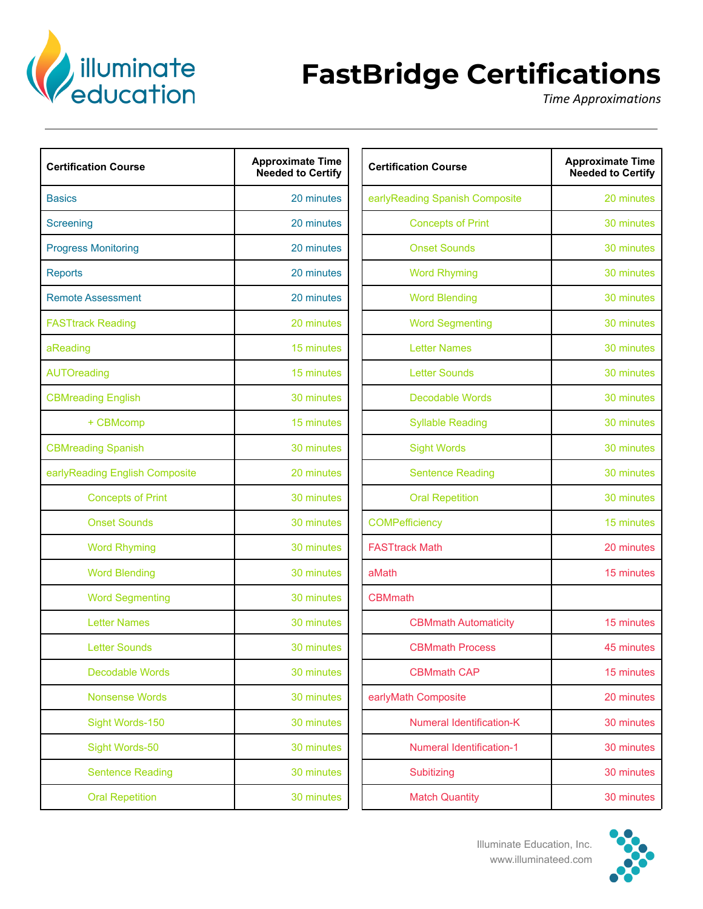

## **FastBridge Certifications**

*Time Approximations*

| <b>Certification Course</b>    | <b>Approximate Time</b><br><b>Needed to Certify</b> | <b>Certification Course</b>     | <b>Approximate Time</b><br><b>Needed to Certify</b> |
|--------------------------------|-----------------------------------------------------|---------------------------------|-----------------------------------------------------|
| <b>Basics</b>                  | 20 minutes                                          | earlyReading Spanish Composite  | 20 minutes                                          |
| Screening                      | 20 minutes                                          | <b>Concepts of Print</b>        | 30 minutes                                          |
| <b>Progress Monitoring</b>     | 20 minutes                                          | <b>Onset Sounds</b>             | 30 minutes                                          |
| <b>Reports</b>                 | 20 minutes                                          | <b>Word Rhyming</b>             | 30 minutes                                          |
| <b>Remote Assessment</b>       | 20 minutes                                          | <b>Word Blending</b>            | 30 minutes                                          |
| <b>FASTtrack Reading</b>       | 20 minutes                                          | <b>Word Segmenting</b>          | 30 minutes                                          |
| aReading                       | 15 minutes                                          | <b>Letter Names</b>             | 30 minutes                                          |
| <b>AUTOreading</b>             | 15 minutes                                          | <b>Letter Sounds</b>            | 30 minutes                                          |
| <b>CBMreading English</b>      | 30 minutes                                          | <b>Decodable Words</b>          | 30 minutes                                          |
| + CBMcomp                      | 15 minutes                                          | <b>Syllable Reading</b>         | 30 minutes                                          |
| <b>CBMreading Spanish</b>      | 30 minutes                                          | <b>Sight Words</b>              | 30 minutes                                          |
| earlyReading English Composite | 20 minutes                                          | <b>Sentence Reading</b>         | 30 minutes                                          |
| <b>Concepts of Print</b>       | 30 minutes                                          | <b>Oral Repetition</b>          | 30 minutes                                          |
| <b>Onset Sounds</b>            | 30 minutes                                          | <b>COMPefficiency</b>           | 15 minutes                                          |
| <b>Word Rhyming</b>            | 30 minutes                                          | <b>FASTtrack Math</b>           | 20 minutes                                          |
| <b>Word Blending</b>           | 30 minutes                                          | aMath                           | 15 minutes                                          |
| <b>Word Segmenting</b>         | 30 minutes                                          | <b>CBMmath</b>                  |                                                     |
| <b>Letter Names</b>            | 30 minutes                                          | <b>CBMmath Automaticity</b>     | 15 minutes                                          |
| <b>Letter Sounds</b>           | 30 minutes                                          | <b>CBMmath Process</b>          | 45 minutes                                          |
| <b>Decodable Words</b>         | 30 minutes                                          | <b>CBMmath CAP</b>              | 15 minutes                                          |
| <b>Nonsense Words</b>          | 30 minutes                                          | earlyMath Composite             | 20 minutes                                          |
| Sight Words-150                | 30 minutes                                          | <b>Numeral Identification-K</b> | 30 minutes                                          |
| Sight Words-50                 | 30 minutes                                          | <b>Numeral Identification-1</b> | 30 minutes                                          |
| <b>Sentence Reading</b>        | 30 minutes                                          | Subitizing                      | 30 minutes                                          |
| <b>Oral Repetition</b>         | 30 minutes                                          | <b>Match Quantity</b>           | 30 minutes                                          |
|                                |                                                     |                                 |                                                     |

| tion Course              | <b>Approximate Time</b><br><b>Needed to Certify</b> | <b>Certification Course</b>     | <b>Approximate Time</b><br><b>Needed to Certify</b> |
|--------------------------|-----------------------------------------------------|---------------------------------|-----------------------------------------------------|
|                          | 20 minutes                                          | earlyReading Spanish Composite  | 20 minutes                                          |
| g                        | 20 minutes                                          | <b>Concepts of Print</b>        | 30 minutes                                          |
| <b>Monitoring</b>        | 20 minutes                                          | <b>Onset Sounds</b>             | 30 minutes                                          |
|                          | 20 minutes                                          | <b>Word Rhyming</b>             | 30 minutes                                          |
| Assessment               | 20 minutes                                          | <b>Word Blending</b>            | 30 minutes                                          |
| <b>k Reading</b>         | 20 minutes                                          | <b>Word Segmenting</b>          | 30 minutes                                          |
|                          | 15 minutes                                          | <b>Letter Names</b>             | 30 minutes                                          |
| ding                     | 15 minutes                                          | <b>Letter Sounds</b>            | 30 minutes                                          |
| ling English             | 30 minutes                                          | <b>Decodable Words</b>          | 30 minutes                                          |
| + CBMcomp                | 15 minutes                                          | <b>Syllable Reading</b>         | 30 minutes                                          |
| ling Spanish             | 30 minutes                                          | <b>Sight Words</b>              | 30 minutes                                          |
| ding English Composite   | 20 minutes                                          | <b>Sentence Reading</b>         | 30 minutes                                          |
| <b>Concepts of Print</b> | 30 minutes                                          | <b>Oral Repetition</b>          | 30 minutes                                          |
| <b>Onset Sounds</b>      | 30 minutes                                          | <b>COMPefficiency</b>           | 15 minutes                                          |
| <b>Word Rhyming</b>      | 30 minutes                                          | <b>FASTtrack Math</b>           | 20 minutes                                          |
| <b>Word Blending</b>     | 30 minutes                                          | aMath                           | 15 minutes                                          |
| <b>Word Segmenting</b>   | 30 minutes                                          | <b>CBMmath</b>                  |                                                     |
| <b>Letter Names</b>      | 30 minutes                                          | <b>CBMmath Automaticity</b>     | 15 minutes                                          |
| <b>Letter Sounds</b>     | 30 minutes                                          | <b>CBMmath Process</b>          | 45 minutes                                          |
| <b>Decodable Words</b>   | 30 minutes                                          | <b>CBMmath CAP</b>              | 15 minutes                                          |
| <b>Nonsense Words</b>    | 30 minutes                                          | earlyMath Composite             | 20 minutes                                          |
| Sight Words-150          | 30 minutes                                          | <b>Numeral Identification-K</b> | 30 minutes                                          |
| Sight Words-50           | 30 minutes                                          | <b>Numeral Identification-1</b> | 30 minutes                                          |
| <b>Sentence Reading</b>  | 30 minutes                                          | Subitizing                      | 30 minutes                                          |
| <b>Oral Repetition</b>   | 30 minutes                                          | <b>Match Quantity</b>           | 30 minutes                                          |